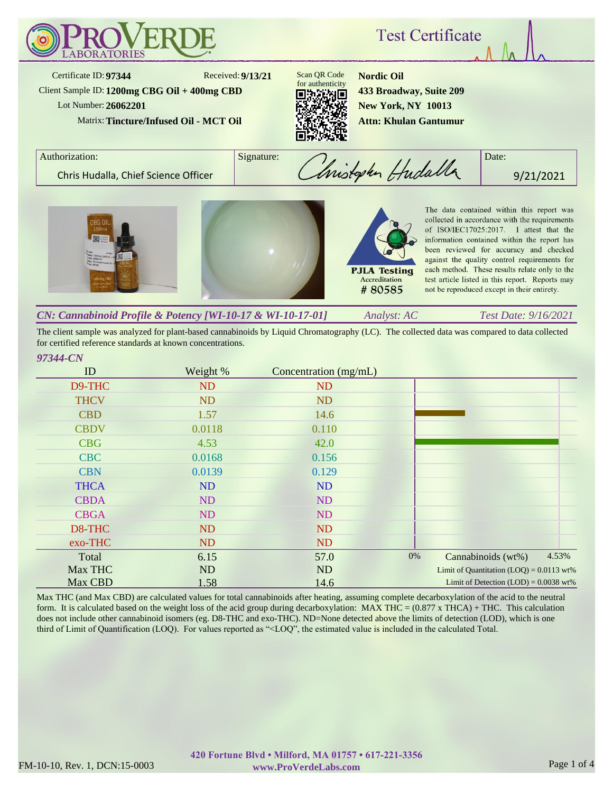

The client sample was analyzed for plant-based cannabinoids by Liquid Chromatography (LC). The collected data was compared to data collected for certified reference standards at known concentrations.

# *97344-CN*

| ID          | Weight %  | Concentration (mg/mL) |                                            |
|-------------|-----------|-----------------------|--------------------------------------------|
| D9-THC      | ND        | <b>ND</b>             |                                            |
| <b>THCV</b> | <b>ND</b> | ND                    |                                            |
| <b>CBD</b>  | 1.57      | 14.6                  |                                            |
| <b>CBDV</b> | 0.0118    | 0.110                 |                                            |
| <b>CBG</b>  | 4.53      | 42.0                  |                                            |
| <b>CBC</b>  | 0.0168    | 0.156                 |                                            |
| <b>CBN</b>  | 0.0139    | 0.129                 |                                            |
| <b>THCA</b> | <b>ND</b> | ND                    |                                            |
| <b>CBDA</b> | ND        | ND                    |                                            |
| <b>CBGA</b> | ND        | ND                    |                                            |
| D8-THC      | ND        | <b>ND</b>             |                                            |
| exo-THC     | <b>ND</b> | <b>ND</b>             |                                            |
| Total       | 6.15      | 57.0                  | 4.53%<br>0%<br>Cannabinoids (wt%)          |
| Max THC     | <b>ND</b> | ND                    | Limit of Quantitation $(LOQ) = 0.0113$ wt% |
| Max CBD     | 1.58      | 14.6                  | Limit of Detection $(LOD) = 0.0038$ wt%    |

Max THC (and Max CBD) are calculated values for total cannabinoids after heating, assuming complete decarboxylation of the acid to the neutral form. It is calculated based on the weight loss of the acid group during decarboxylation: MAX THC =  $(0.877 \times THCA) + THCA$ . This calculation does not include other cannabinoid isomers (eg. D8-THC and exo-THC). ND=None detected above the limits of detection (LOD), which is one third of Limit of Quantification (LOQ). For values reported as "<LOQ", the estimated value is included in the calculated Total.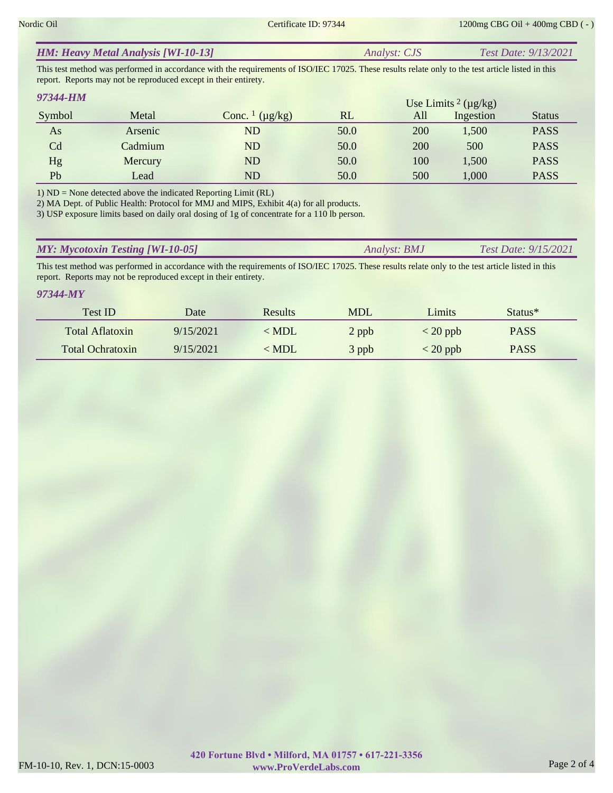| <b>HM: Heavy Metal Analysis [WI-10-13]</b> | <i>Analyst: CJS</i> | <b>Test Date: 9/13/2021</b> |
|--------------------------------------------|---------------------|-----------------------------|
|--------------------------------------------|---------------------|-----------------------------|

This test method was performed in accordance with the requirements of ISO/IEC 17025. These results relate only to the test article listed in this report. Reports may not be reproduced except in their entirety.

| 97344-HM |         |                                     |      |     | Use Limits $2 \, (\mu g/kg)$ |               |
|----------|---------|-------------------------------------|------|-----|------------------------------|---------------|
| Symbol   | Metal   | Conc. $\frac{1}{\mu}$ ( $\mu$ g/kg) | RL   | All | Ingestion                    | <b>Status</b> |
| As       | Arsenic | ND                                  | 50.0 | 200 | 1,500                        | <b>PASS</b>   |
| Cd       | Cadmium | ND                                  | 50.0 | 200 | 500                          | <b>PASS</b>   |
| Hg       | Mercury | ND                                  | 50.0 | 100 | 1,500                        | <b>PASS</b>   |
| Pb       | Lead    | ND                                  | 50.0 | 500 | 1,000                        | <b>PASS</b>   |

1) ND = None detected above the indicated Reporting Limit (RL)

2) MA Dept. of Public Health: Protocol for MMJ and MIPS, Exhibit 4(a) for all products.

3) USP exposure limits based on daily oral dosing of 1g of concentrate for a 110 lb person.

| <b>MY: Mycotoxin Testing [WI-10-05]</b> | Analyst: <b>BMJ</b> | Test Date: $9/15/2021$ |
|-----------------------------------------|---------------------|------------------------|
|                                         |                     |                        |

This test method was performed in accordance with the requirements of ISO/IEC 17025. These results relate only to the test article listed in this report. Reports may not be reproduced except in their entirety.

#### *97344-MY*

| Test ID                 | Date      | <b>Results</b> | <b>MDL</b> | Limits     | Status <sup>*</sup> |  |
|-------------------------|-----------|----------------|------------|------------|---------------------|--|
| Total Aflatoxin         | 9/15/2021 | $\leq$ MDL     | 2 ppb      | $< 20$ ppb | <b>PASS</b>         |  |
| <b>Total Ochratoxin</b> | 9/15/2021 | $\leq$ MDL     | 3 ppb      | $< 20$ ppb | <b>PASS</b>         |  |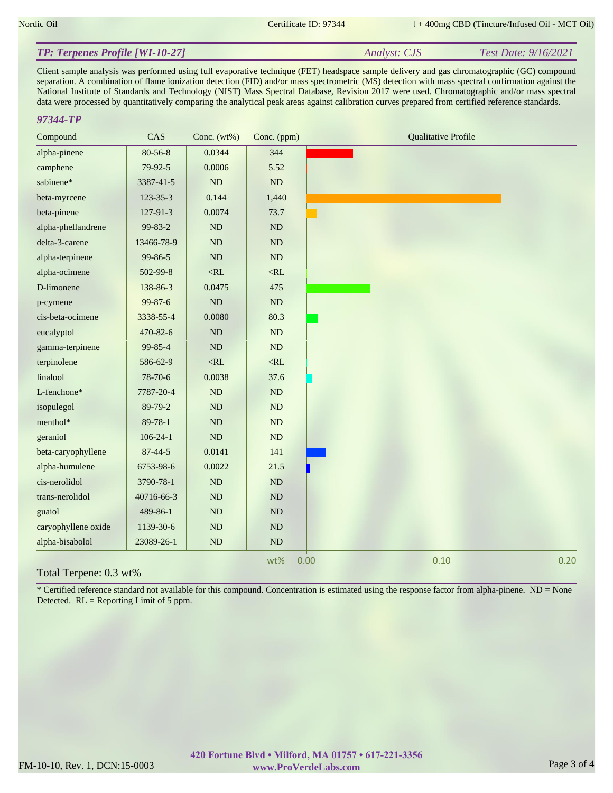*Analyst: CJS Test Date: 9/16/2021*

## *TP: Terpenes Profile [WI-10-27]*

Client sample analysis was performed using full evaporative technique (FET) headspace sample delivery and gas chromatographic (GC) compound separation. A combination of flame ionization detection (FID) and/or mass spectrometric (MS) detection with mass spectral confirmation against the National Institute of Standards and Technology (NIST) Mass Spectral Database, Revision 2017 were used. Chromatographic and/or mass spectral data were processed by quantitatively comparing the analytical peak areas against calibration curves prepared from certified reference standards.

## *97344-TP*

| Compound               | CAS            | Conc. $(wt\%)$ | Conc. (ppm) | <b>Qualitative Profile</b> |
|------------------------|----------------|----------------|-------------|----------------------------|
| alpha-pinene           | $80 - 56 - 8$  | 0.0344         | 344         |                            |
| camphene               | 79-92-5        | 0.0006         | 5.52        |                            |
| sabinene*              | 3387-41-5      | ND             | ND          |                            |
| beta-myrcene           | 123-35-3       | 0.144          | 1,440       |                            |
| beta-pinene            | 127-91-3       | 0.0074         | 73.7        |                            |
| alpha-phellandrene     | 99-83-2        | ND             | ND          |                            |
| delta-3-carene         | 13466-78-9     | ND             | $\rm ND$    |                            |
| alpha-terpinene        | 99-86-5        | $\rm ND$       | $\rm ND$    |                            |
| alpha-ocimene          | 502-99-8       | $<\!\!RL$      | $<\!\!RL$   |                            |
| D-limonene             | 138-86-3       | 0.0475         | 475         |                            |
| p-cymene               | 99-87-6        | $\rm ND$       | $\rm ND$    |                            |
| cis-beta-ocimene       | 3338-55-4      | 0.0080         | 80.3        |                            |
| eucalyptol             | 470-82-6       | $\rm ND$       | ND          |                            |
| gamma-terpinene        | 99-85-4        | $\rm ND$       | $\rm ND$    |                            |
| terpinolene            | 586-62-9       | $<\!\!RL$      | $<\!\!RL$   |                            |
| linalool               | 78-70-6        | 0.0038         | 37.6        |                            |
| L-fenchone*            | 7787-20-4      | $\rm ND$       | $\rm ND$    |                            |
| isopulegol             | 89-79-2        | ND             | ND          |                            |
| menthol*               | $89 - 78 - 1$  | $\rm ND$       | ND          |                            |
| geraniol               | $106 - 24 - 1$ | $\rm ND$       | ND          |                            |
| beta-caryophyllene     | $87 - 44 - 5$  | 0.0141         | 141         |                            |
| alpha-humulene         | 6753-98-6      | 0.0022         | 21.5        |                            |
| cis-nerolidol          | 3790-78-1      | $\rm ND$       | $\rm ND$    |                            |
| trans-nerolidol        | 40716-66-3     | ND             | ${\rm ND}$  |                            |
| guaiol                 | 489-86-1       | $\rm ND$       | ND          |                            |
| caryophyllene oxide    | 1139-30-6      | ND             | $\rm ND$    |                            |
| alpha-bisabolol        | 23089-26-1     | $\rm ND$       | $\rm ND$    |                            |
| Total Terpene: 0.3 wt% |                |                | wt%         | 0.10<br>0.20<br>0.00       |

\* Certified reference standard not available for this compound. Concentration is estimated using the response factor from alpha-pinene. ND = None Detected.  $RL =$  Reporting Limit of 5 ppm.